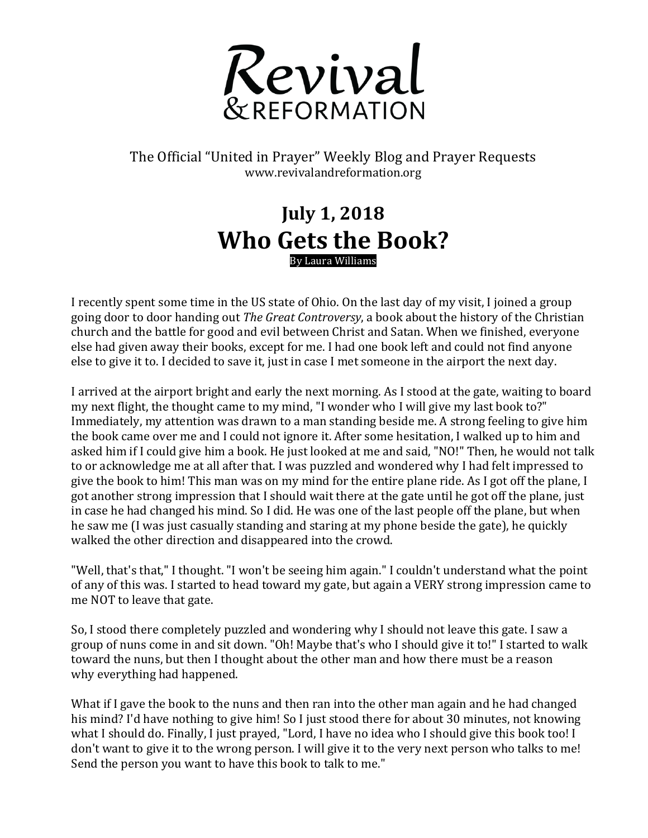

The Official "United in Prayer" Weekly Blog and Prayer Requests www.revivalandreformation.org

## **July 1, 2018 Who Gets the Book?** By Laura Williams

I recently spent some time in the US state of Ohio. On the last day of my visit, I joined a group going door to door handing out *The Great Controversy*, a book about the history of the Christian church and the battle for good and evil between Christ and Satan. When we finished, everyone else had given away their books, except for me. I had one book left and could not find anyone else to give it to. I decided to save it, just in case I met someone in the airport the next day.

I arrived at the airport bright and early the next morning. As I stood at the gate, waiting to board my next flight, the thought came to my mind, "I wonder who I will give my last book to?" Immediately, my attention was drawn to a man standing beside me. A strong feeling to give him the book came over me and I could not ignore it. After some hesitation, I walked up to him and asked him if I could give him a book. He just looked at me and said, "NO!" Then, he would not talk to or acknowledge me at all after that. I was puzzled and wondered why I had felt impressed to give the book to him! This man was on my mind for the entire plane ride. As I got off the plane, I got another strong impression that I should wait there at the gate until he got off the plane, just in case he had changed his mind. So I did. He was one of the last people off the plane, but when he saw me (I was just casually standing and staring at my phone beside the gate), he quickly walked the other direction and disappeared into the crowd.

"Well, that's that," I thought. "I won't be seeing him again." I couldn't understand what the point of any of this was. I started to head toward my gate, but again a VERY strong impression came to me NOT to leave that gate.

So, I stood there completely puzzled and wondering why I should not leave this gate. I saw a group of nuns come in and sit down. "Oh! Maybe that's who I should give it to!" I started to walk toward the nuns, but then I thought about the other man and how there must be a reason why everything had happened.

What if I gave the book to the nuns and then ran into the other man again and he had changed his mind? I'd have nothing to give him! So I just stood there for about 30 minutes, not knowing what I should do. Finally, I just prayed, "Lord, I have no idea who I should give this book too! I don't want to give it to the wrong person. I will give it to the very next person who talks to me! Send the person you want to have this book to talk to me."